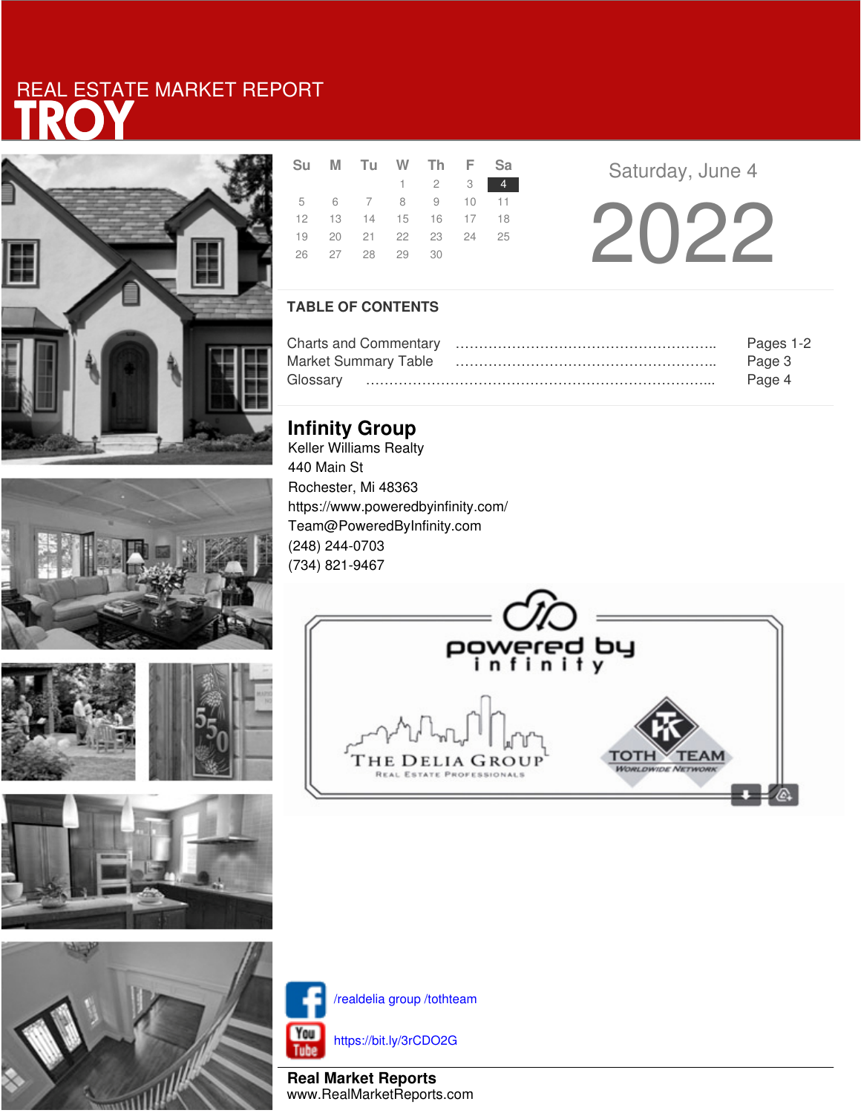# **RC** REAL ESTATE MARKET REPORT











|  | Su M Tu W Th F Sa          |                             |  |  |
|--|----------------------------|-----------------------------|--|--|
|  |                            | $1 \quad 2 \quad 3 \quad 4$ |  |  |
|  | 5 6 7 8 9 10 11            |                             |  |  |
|  | 12  13  14  15  16  17  18 |                             |  |  |
|  | 19 20 21 22 23 24 25       |                             |  |  |
|  | 26 27 28 29 30             |                             |  |  |

**Saturday, June 4** 

2022

### **TABLE OF CONTENTS**

|                      | Pages 1-2 |
|----------------------|-----------|
| Market Summary Table | Page 3    |
|                      | Page 4    |

### **Infinity Group**

Keller Williams Realty 440 Main St Rochester, Mi 48363 https://www.poweredbyinfinity.com/ Team@PoweredByInfinity.com (248) 244-0703 (734) 821-9467





/realdelia group /tothteam

https://bit.ly/3rCDO2G

**Real Market Reports** www.RealMarketReports.com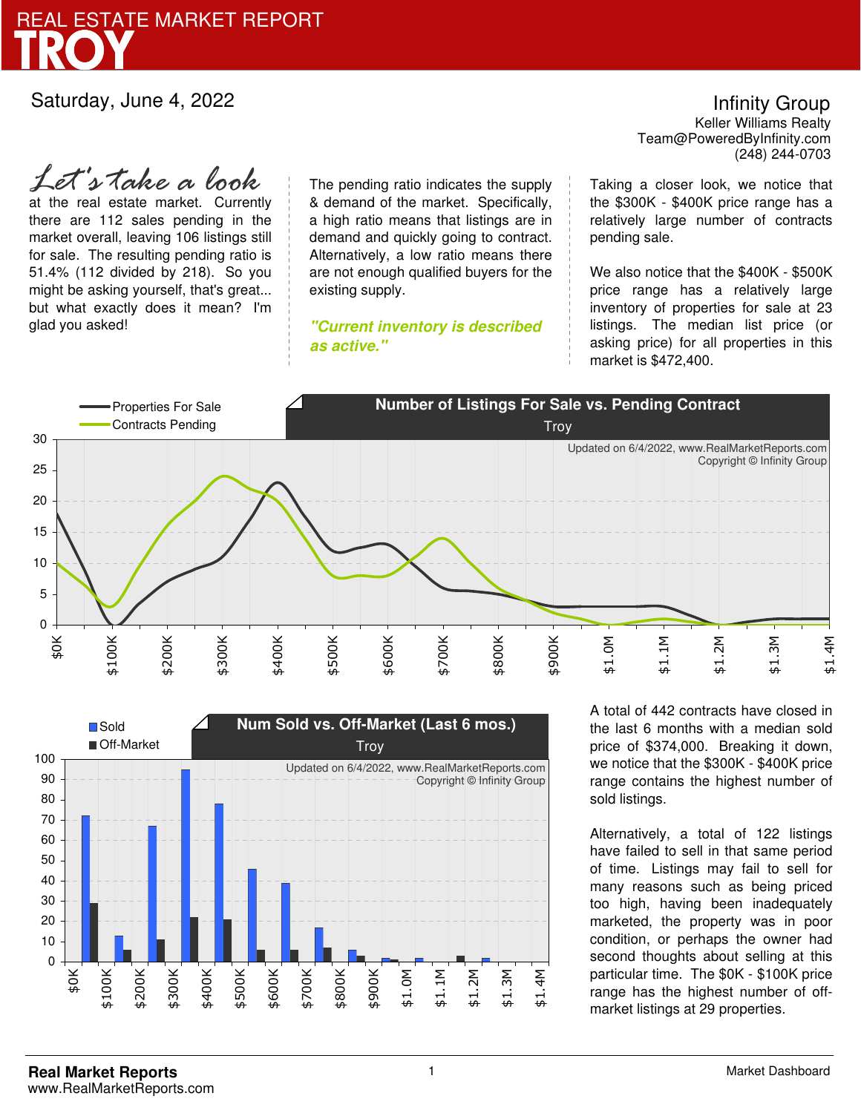

at the real estate market. Currently there are 112 sales pending in the market overall, leaving 106 listings still for sale. The resulting pending ratio is 51.4% (112 divided by 218). So you might be asking yourself, that's great... but what exactly does it mean? I'm glad you asked! *Let's take a look*

The pending ratio indicates the supply & demand of the market. Specifically, a high ratio means that listings are in demand and quickly going to contract. Alternatively, a low ratio means there are not enough qualified buyers for the existing supply.

**"Current inventory is described as active."**

Team@PoweredByInfinity.com Infinity Group Keller Williams Realty (248) 244-0703

Taking a closer look, we notice that the \$300K - \$400K price range has a relatively large number of contracts pending sale.

We also notice that the \$400K - \$500K price range has a relatively large inventory of properties for sale at 23 listings. The median list price (or asking price) for all properties in this market is \$472,400.





A total of 442 contracts have closed in the last 6 months with a median sold price of \$374,000. Breaking it down, we notice that the \$300K - \$400K price range contains the highest number of sold listings.

Alternatively, a total of 122 listings have failed to sell in that same period of time. Listings may fail to sell for many reasons such as being priced too high, having been inadequately marketed, the property was in poor condition, or perhaps the owner had second thoughts about selling at this particular time. The \$0K - \$100K price range has the highest number of offmarket listings at 29 properties.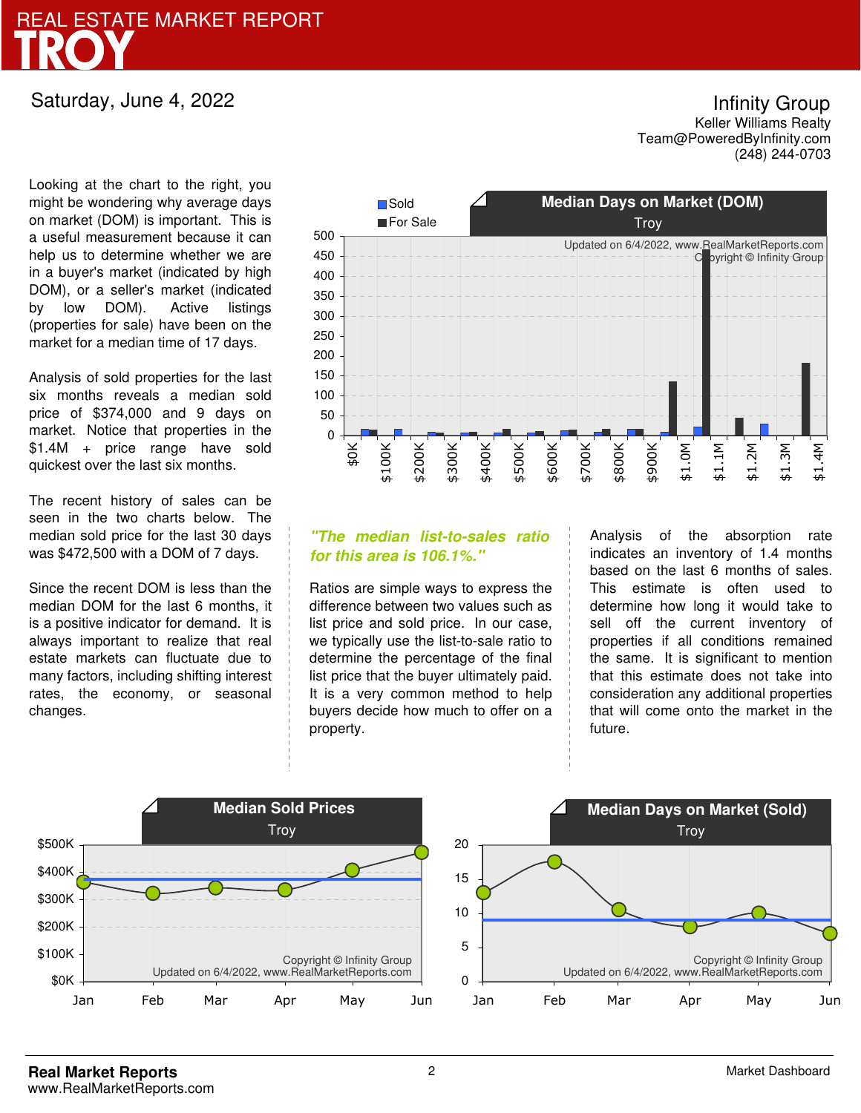![](_page_2_Picture_0.jpeg)

Looking at the chart to the right, you might be wondering why average days on market (DOM) is important. This is a useful measurement because it can help us to determine whether we are in a buyer's market (indicated by high DOM), or a seller's market (indicated by low DOM). Active listings (properties for sale) have been on the market for a median time of 17 days.

Analysis of sold properties for the last six months reveals a median sold price of \$374,000 and 9 days on market. Notice that properties in the \$1.4M + price range have sold quickest over the last six months.

The recent history of sales can be seen in the two charts below. The median sold price for the last 30 days was \$472,500 with a DOM of 7 days.

Since the recent DOM is less than the median DOM for the last 6 months, it is a positive indicator for demand. It is always important to realize that real estate markets can fluctuate due to many factors, including shifting interest rates, the economy, or seasonal changes.

![](_page_2_Figure_6.jpeg)

### **"The median list-to-sales ratio for this area is 106.1%."**

Ratios are simple ways to express the difference between two values such as list price and sold price. In our case, we typically use the list-to-sale ratio to determine the percentage of the final list price that the buyer ultimately paid. It is a very common method to help buyers decide how much to offer on a property.

Analysis of the absorption rate indicates an inventory of 1.4 months based on the last 6 months of sales. This estimate is often used to determine how long it would take to sell off the current inventory of properties if all conditions remained the same. It is significant to mention that this estimate does not take into consideration any additional properties that will come onto the market in the future.

![](_page_2_Figure_10.jpeg)

Team@PoweredByInfinity.com Infinity Group Keller Williams Realty (248) 244-0703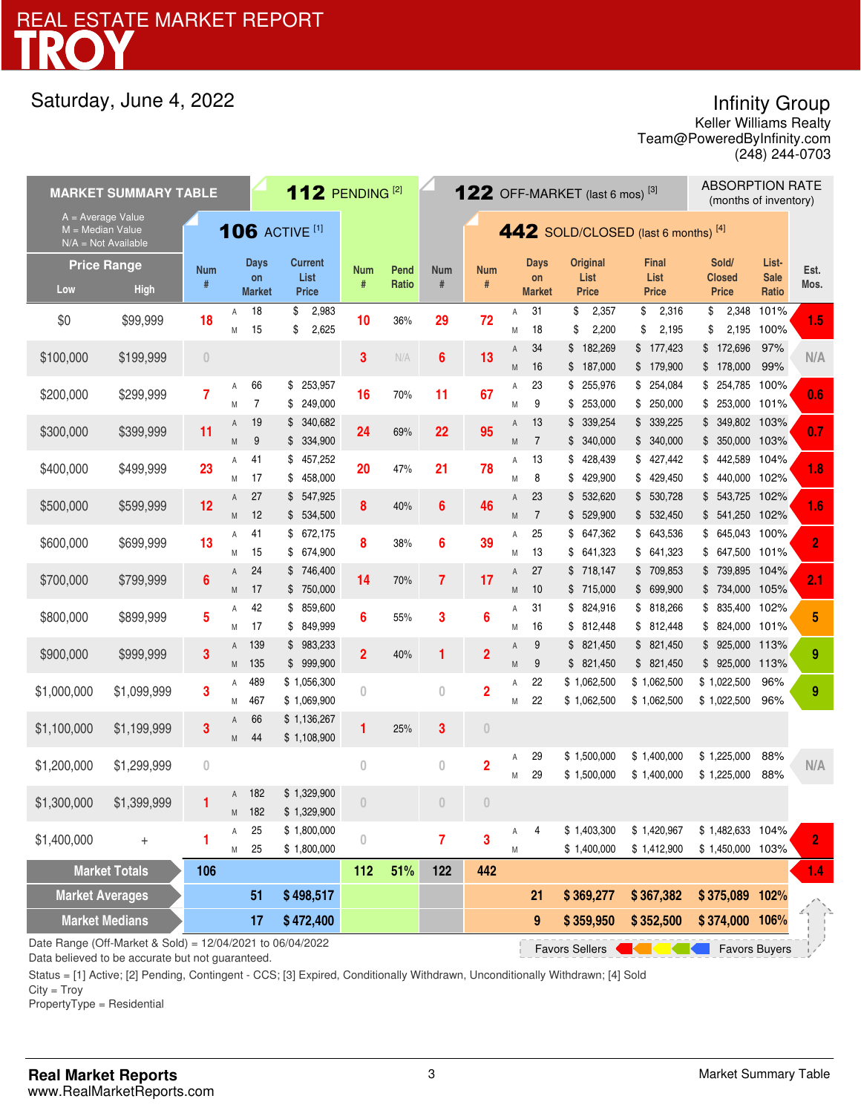## Infinity Group

Team@PoweredByInfinity.com Keller Williams Realty (248) 244-0703

| <b>MARKET SUMMARY TABLE</b>                                                                                |                      |                |                       |                      |                                | 112 PENDING $^{[2]}$ |          |                | $122$ OFF-MARKET (last 6 mos) <sup>[3]</sup> |                |                   |                                     |                            | <b>ABSORPTION RATE</b><br>(months of inventory) |                      |                |   |
|------------------------------------------------------------------------------------------------------------|----------------------|----------------|-----------------------|----------------------|--------------------------------|----------------------|----------|----------------|----------------------------------------------|----------------|-------------------|-------------------------------------|----------------------------|-------------------------------------------------|----------------------|----------------|---|
| $A = Average Value$<br>$M = Median Value$<br>$N/A = Not Available$                                         |                      |                | <b>106 ACTIVE [1]</b> |                      |                                |                      |          |                |                                              |                |                   | 442 SOLD/CLOSED (last 6 months) [4] |                            |                                                 |                      |                |   |
|                                                                                                            | <b>Price Range</b>   | <b>Num</b>     |                       | <b>Days</b><br>on    | Current<br>List                | Num                  | Pend     | <b>Num</b>     | <b>Num</b>                                   |                | <b>Days</b><br>on | <b>Original</b><br>List             | <b>Final</b><br>List       | Sold/<br><b>Closed</b>                          | List-<br><b>Sale</b> | Est.           |   |
| Low                                                                                                        | <b>High</b>          | #              |                       | <b>Market</b>        | Price                          | #                    | Ratio    | $\#$           | #                                            |                | <b>Market</b>     | <b>Price</b>                        | <b>Price</b>               | <b>Price</b>                                    | Ratio                | Mos.           |   |
| \$0                                                                                                        | \$99,999             | 18             | A<br>M                | 18<br>15             | 2,983<br>\$<br>\$<br>2,625     | 10                   | 36%      | 29             | 72                                           | Α<br>M         | 31<br>18          | \$<br>2,357<br>\$<br>2,200          | 2,316<br>\$<br>\$<br>2,195 | 2,348<br>\$<br>\$<br>2,195                      | 101%<br>100%         | 1.5            |   |
| \$100,000                                                                                                  | \$199,999            | $\theta$       |                       |                      |                                | 3                    | N/A      | 6              | 13                                           | Α<br>M         | 34<br>16          | \$<br>182,269<br>187,000<br>\$      | \$177,423<br>\$179,900     | 172,696<br>\$<br>178,000<br>\$                  | 97%<br>99%           | N/A            |   |
| \$200,000                                                                                                  | \$299,999            | 7              | Α<br>M                | 66<br>$\overline{7}$ | 253,957<br>\$<br>249,000<br>\$ | 16                   | 70%      | 11             | 67                                           | Α<br>M         | 23<br>9           | \$<br>255,976<br>253,000<br>\$      | \$254,084<br>\$250,000     | 254,785 100%<br>\$<br>253,000 101%<br>\$        |                      | 0.6            |   |
|                                                                                                            |                      |                | Α                     | 19                   | 340,682<br>\$                  |                      |          |                |                                              | Α              | 13                | \$339,254                           | \$339,225                  | 349,802 103%<br>\$                              |                      |                |   |
| \$300,000                                                                                                  | \$399,999            | 11             | M                     | 9                    | \$334,900                      | 24                   | 69%      | 22             | 95                                           | M              | $\overline{7}$    | \$340,000                           | \$340,000                  | 350,000 103%<br>\$                              |                      | 0.7            |   |
| \$400,000                                                                                                  | \$499,999            | 23             | Α                     | 41                   | 457,252<br>\$                  | 20                   | 47%      | 21             | 78                                           | Α              | 13                | \$<br>428,439                       | \$427,442                  | 442,589 104%<br>\$                              |                      | 1.8            |   |
|                                                                                                            |                      |                | M                     | 17                   | 458,000<br>\$                  |                      |          |                |                                              | M              | 8                 | 429,900<br>\$                       | \$429,450                  | 440,000 102%<br>\$                              |                      |                |   |
| \$500,000                                                                                                  | \$599,999            | 12             | Α                     | 27                   | 547,925<br>\$                  | 8                    | 40%      | 6              | 46                                           | $\overline{A}$ | 23                | 532,620<br>\$                       | \$ 530,728                 | 543,725 102%<br>\$                              |                      | 1.6            |   |
|                                                                                                            |                      |                | M                     | 12                   | \$ 534,500                     |                      |          |                |                                              | M              | $\overline{7}$    | \$ 529,900                          | \$ 532,450                 | \$541,250 102%                                  |                      |                |   |
| \$600,000                                                                                                  | \$699,999            | 13             | Α                     | 41                   | 672,175<br>\$                  | 8                    | 38%      | 6              | 39                                           | Α              | 25                | \$647,362                           | \$ 643,536                 | 645,043 100%<br>\$                              |                      | $\overline{2}$ |   |
|                                                                                                            |                      |                | M<br>A                | 15<br>24             | 674,900<br>S.<br>\$746,400     |                      |          |                |                                              | Μ<br>Α         | 13<br>27          | \$<br>641,323<br>\$718,147          | \$ 641,323<br>\$709,853    | 647,500 101%<br>\$<br>739,895 104%<br>\$        |                      |                |   |
| \$700,000                                                                                                  | \$799,999            | 6              | M                     | 17                   | 750,000<br>\$                  | 14                   | 70%      | $\overline{7}$ | 17                                           | M              | 10                | \$715,000                           | \$699,900                  | \$734,000 105%                                  |                      | 2.1            |   |
|                                                                                                            |                      |                | Α                     | 42                   | 859,600<br>\$                  |                      |          |                |                                              | Α              | 31                | \$ 824,916                          | \$ 818,266                 | 835,400 102%<br>\$                              |                      |                |   |
| \$800,000                                                                                                  | \$899,999            | 5              | M                     | 17                   | 849,999<br>S.                  | 6                    | 3<br>55% |                |                                              | $6\phantom{a}$ | M                 | 16                                  | \$812,448                  | \$812,448                                       | 824,000 101%<br>\$   |                | 5 |
|                                                                                                            |                      |                | A                     | 139                  | \$983,233                      |                      |          |                |                                              | Α              | 9                 | \$821,450                           | \$821,450                  | 925,000<br>\$                                   | 113%                 |                |   |
| \$900,000                                                                                                  | \$999,999            | 3              | M                     | 135                  | \$<br>999,900                  | $\overline{2}$       | 40%      | 1              | $\overline{2}$                               | M              | 9                 | \$ 821,450                          | \$821,450                  | 925,000 113%<br>\$                              |                      | 9              |   |
| \$1,000,000                                                                                                | \$1,099,999          | 3              | Α                     | 489                  | \$1,056,300                    | $\theta$             |          | $\overline{0}$ | $\overline{2}$                               | Α              | 22                | \$1,062,500                         | \$1,062,500                | \$1,022,500                                     | 96%                  | 9              |   |
|                                                                                                            |                      |                | Μ                     | 467                  | \$1,069,900                    |                      |          |                |                                              | Μ              | 22                | \$1,062,500                         | \$1,062,500                | \$1,022,500                                     | 96%                  |                |   |
| \$1,100,000                                                                                                | \$1,199,999          | 3              | Α                     | 66                   | \$1,136,267                    | 1                    | 25%      | 3              | $\theta$                                     |                |                   |                                     |                            |                                                 |                      |                |   |
|                                                                                                            |                      |                | M                     | 44                   | \$1,108,900                    |                      |          |                |                                              |                |                   |                                     |                            |                                                 |                      |                |   |
| \$1,200,000                                                                                                | \$1,299,999          | $\overline{0}$ |                       |                      |                                | $\overline{0}$       |          | $\bf{0}$       | $\overline{2}$                               | Α              | 29                | \$1,500,000                         | \$1,400,000                | \$1,225,000                                     | 88%                  | N/A            |   |
|                                                                                                            |                      |                |                       | 182                  | \$1,329,900                    |                      |          |                |                                              | M              | 29                | \$1,500,000                         | \$1,400,000                | \$1,225,000                                     | 88%                  |                |   |
| \$1,300,000                                                                                                | \$1,399,999          |                | A<br>M                | 182                  | \$1,329,900                    | $\theta$             |          | $\theta$       | $\overline{0}$                               |                |                   |                                     |                            |                                                 |                      |                |   |
|                                                                                                            |                      |                | Α                     | 25                   | \$1,800,000                    |                      |          |                |                                              | Α              | 4                 | \$1,403,300                         | \$1,420,967                | \$1,482,633 104%                                |                      |                |   |
| \$1,400,000                                                                                                | $^{+}$               | 1              | М                     | 25                   | \$1,800,000                    | $\bf{0}$             |          | $\overline{7}$ | 3                                            | M              |                   | \$1,400,000                         | \$1,412,900                | \$1,450,000 103%                                |                      | $\overline{2}$ |   |
|                                                                                                            | <b>Market Totals</b> | 106            |                       |                      |                                | 112                  | 51%      | 122            | 442                                          |                |                   |                                     |                            |                                                 |                      | 1.4            |   |
| <b>Market Averages</b>                                                                                     |                      |                |                       | 51                   | \$498,517                      |                      |          |                |                                              |                | 21                | \$369,277                           | \$367,382                  | \$375,089 102%                                  |                      |                |   |
| <b>Market Medians</b>                                                                                      |                      |                |                       | 17                   | \$472,400                      |                      |          |                |                                              |                | 9                 | \$359,950                           | \$352,500                  | \$374,000 106%                                  |                      |                |   |
| Date Range (Off-Market & Sold) = 12/04/2021 to 06/04/2022<br><b>Favors Sellers</b><br><b>Favors Buyers</b> |                      |                |                       |                      |                                |                      |          |                |                                              |                |                   |                                     |                            |                                                 |                      |                |   |

Data believed to be accurate but not guaranteed.

Status = [1] Active; [2] Pending, Contingent - CCS; [3] Expired, Conditionally Withdrawn, Unconditionally Withdrawn; [4] Sold

 $City = Troy$ 

PropertyType = Residential